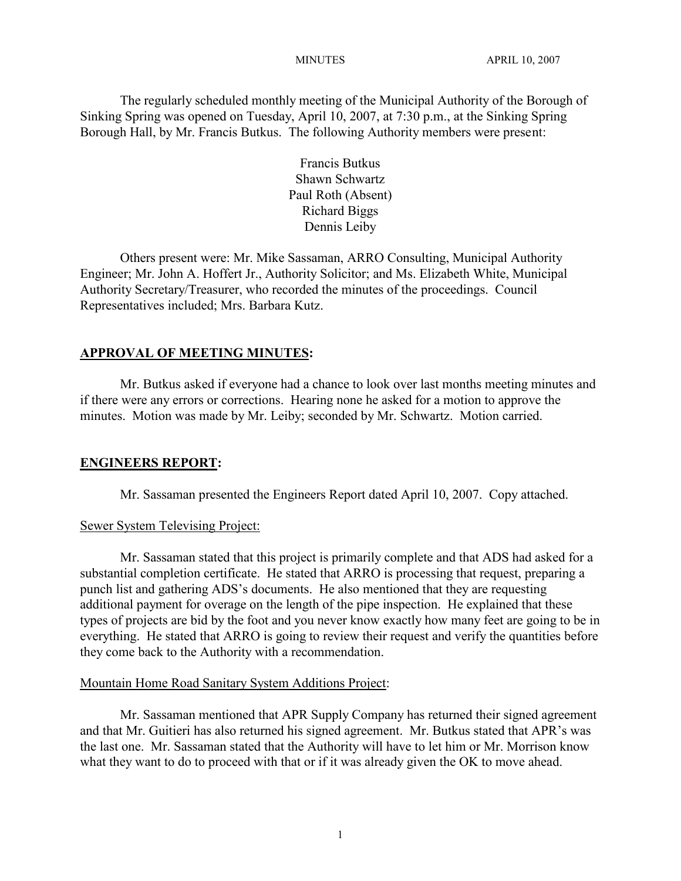The regularly scheduled monthly meeting of the Municipal Authority of the Borough of Sinking Spring was opened on Tuesday, April 10, 2007, at 7:30 p.m., at the Sinking Spring Borough Hall, by Mr. Francis Butkus. The following Authority members were present:

> Francis Butkus Shawn Schwartz Paul Roth (Absent) Richard Biggs Dennis Leiby

Others present were: Mr. Mike Sassaman, ARRO Consulting, Municipal Authority Engineer; Mr. John A. Hoffert Jr., Authority Solicitor; and Ms. Elizabeth White, Municipal Authority Secretary/Treasurer, who recorded the minutes of the proceedings. Council Representatives included; Mrs. Barbara Kutz.

## **APPROVAL OF MEETING MINUTES:**

Mr. Butkus asked if everyone had a chance to look over last months meeting minutes and if there were any errors or corrections. Hearing none he asked for a motion to approve the minutes. Motion was made by Mr. Leiby; seconded by Mr. Schwartz. Motion carried.

## **ENGINEERS REPORT:**

Mr. Sassaman presented the Engineers Report dated April 10, 2007. Copy attached.

## Sewer System Televising Project:

Mr. Sassaman stated that this project is primarily complete and that ADS had asked for a substantial completion certificate. He stated that ARRO is processing that request, preparing a punch list and gathering ADS's documents. He also mentioned that they are requesting additional payment for overage on the length of the pipe inspection. He explained that these types of projects are bid by the foot and you never know exactly how many feet are going to be in everything. He stated that ARRO is going to review their request and verify the quantities before they come back to the Authority with a recommendation.

## Mountain Home Road Sanitary System Additions Project:

Mr. Sassaman mentioned that APR Supply Company has returned their signed agreement and that Mr. Guitieri has also returned his signed agreement. Mr. Butkus stated that APR's was the last one. Mr. Sassaman stated that the Authority will have to let him or Mr. Morrison know what they want to do to proceed with that or if it was already given the OK to move ahead.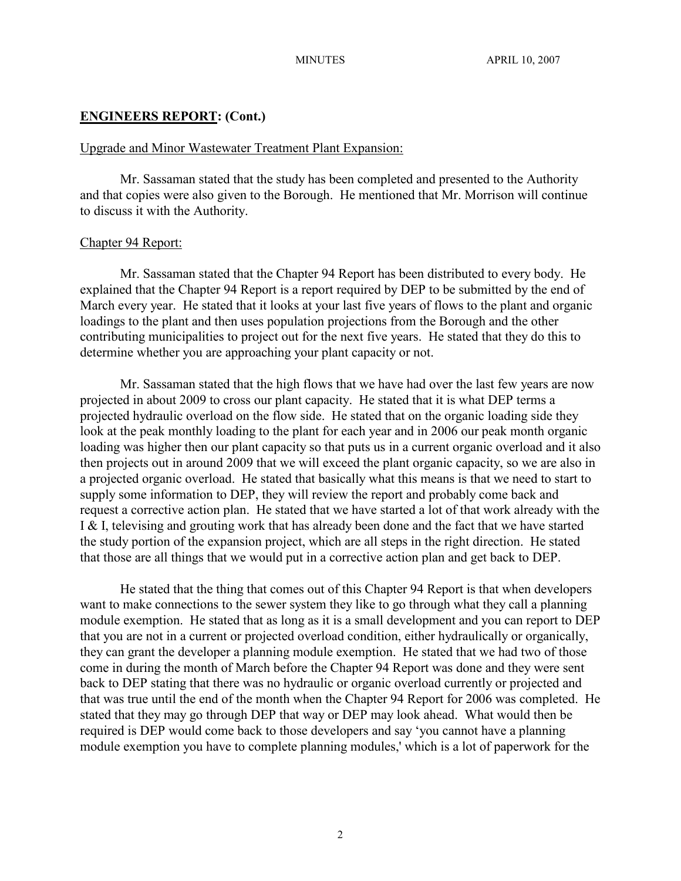## **ENGINEERS REPORT: (Cont.)**

#### Upgrade and Minor Wastewater Treatment Plant Expansion:

Mr. Sassaman stated that the study has been completed and presented to the Authority and that copies were also given to the Borough. He mentioned that Mr. Morrison will continue to discuss it with the Authority.

#### Chapter 94 Report:

Mr. Sassaman stated that the Chapter 94 Report has been distributed to every body. He explained that the Chapter 94 Report is a report required by DEP to be submitted by the end of March every year. He stated that it looks at your last five years of flows to the plant and organic loadings to the plant and then uses population projections from the Borough and the other contributing municipalities to project out for the next five years. He stated that they do this to determine whether you are approaching your plant capacity or not.

Mr. Sassaman stated that the high flows that we have had over the last few years are now projected in about 2009 to cross our plant capacity. He stated that it is what DEP terms a projected hydraulic overload on the flow side. He stated that on the organic loading side they look at the peak monthly loading to the plant for each year and in 2006 our peak month organic loading was higher then our plant capacity so that puts us in a current organic overload and it also then projects out in around 2009 that we will exceed the plant organic capacity, so we are also in a projected organic overload. He stated that basically what this means is that we need to start to supply some information to DEP, they will review the report and probably come back and request a corrective action plan. He stated that we have started a lot of that work already with the I & I, televising and grouting work that has already been done and the fact that we have started the study portion of the expansion project, which are all steps in the right direction. He stated that those are all things that we would put in a corrective action plan and get back to DEP.

He stated that the thing that comes out of this Chapter 94 Report is that when developers want to make connections to the sewer system they like to go through what they call a planning module exemption. He stated that as long as it is a small development and you can report to DEP that you are not in a current or projected overload condition, either hydraulically or organically, they can grant the developer a planning module exemption. He stated that we had two of those come in during the month of March before the Chapter 94 Report was done and they were sent back to DEP stating that there was no hydraulic or organic overload currently or projected and that was true until the end of the month when the Chapter 94 Report for 2006 was completed. He stated that they may go through DEP that way or DEP may look ahead. What would then be required is DEP would come back to those developers and say 'you cannot have a planning module exemption you have to complete planning modules,' which is a lot of paperwork for the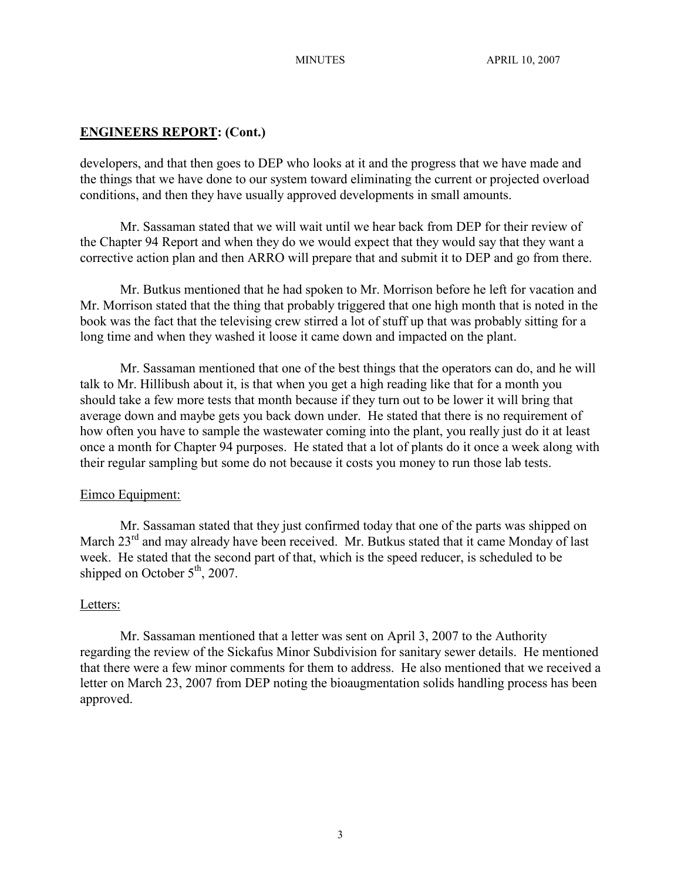#### **ENGINEERS REPORT: (Cont.)**

developers, and that then goes to DEP who looks at it and the progress that we have made and the things that we have done to our system toward eliminating the current or projected overload conditions, and then they have usually approved developments in small amounts.

Mr. Sassaman stated that we will wait until we hear back from DEP for their review of the Chapter 94 Report and when they do we would expect that they would say that they want a corrective action plan and then ARRO will prepare that and submit it to DEP and go from there.

Mr. Butkus mentioned that he had spoken to Mr. Morrison before he left for vacation and Mr. Morrison stated that the thing that probably triggered that one high month that is noted in the book was the fact that the televising crew stirred a lot of stuff up that was probably sitting for a long time and when they washed it loose it came down and impacted on the plant.

Mr. Sassaman mentioned that one of the best things that the operators can do, and he will talk to Mr. Hillibush about it, is that when you get a high reading like that for a month you should take a few more tests that month because if they turn out to be lower it will bring that average down and maybe gets you back down under. He stated that there is no requirement of how often you have to sample the wastewater coming into the plant, you really just do it at least once a month for Chapter 94 purposes. He stated that a lot of plants do it once a week along with their regular sampling but some do not because it costs you money to run those lab tests.

#### Eimco Equipment:

Mr. Sassaman stated that they just confirmed today that one of the parts was shipped on March 23<sup>rd</sup> and may already have been received. Mr. Butkus stated that it came Monday of last week. He stated that the second part of that, which is the speed reducer, is scheduled to be shipped on October  $5<sup>th</sup>$ , 2007.

#### Letters:

Mr. Sassaman mentioned that a letter was sent on April 3, 2007 to the Authority regarding the review of the Sickafus Minor Subdivision for sanitary sewer details. He mentioned that there were a few minor comments for them to address. He also mentioned that we received a letter on March 23, 2007 from DEP noting the bioaugmentation solids handling process has been approved.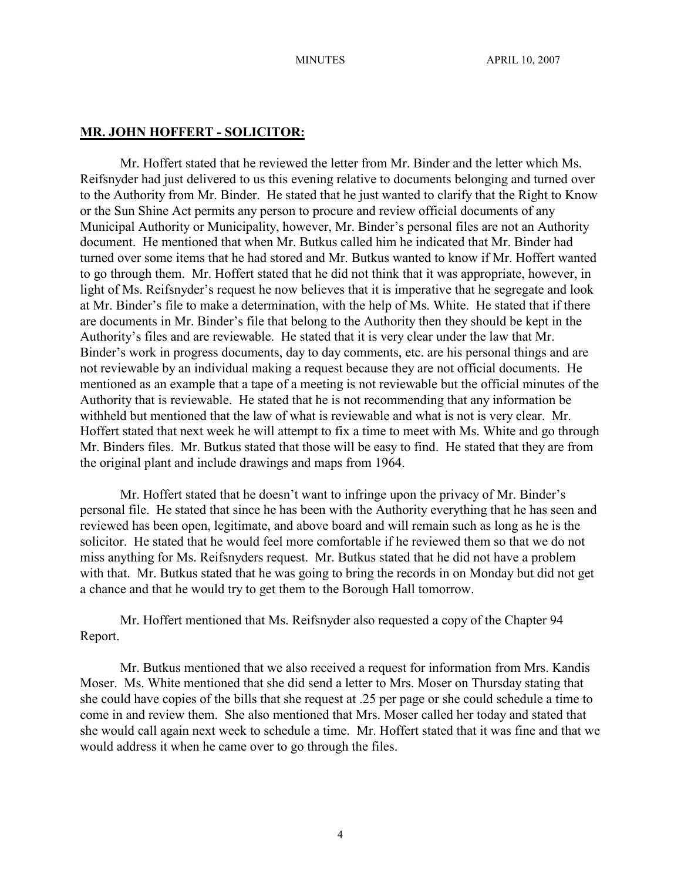#### **MR. JOHN HOFFERT - SOLICITOR:**

Mr. Hoffert stated that he reviewed the letter from Mr. Binder and the letter which Ms. Reifsnyder had just delivered to us this evening relative to documents belonging and turned over to the Authority from Mr. Binder. He stated that he just wanted to clarify that the Right to Know or the Sun Shine Act permits any person to procure and review official documents of any Municipal Authority or Municipality, however, Mr. Binder's personal files are not an Authority document. He mentioned that when Mr. Butkus called him he indicated that Mr. Binder had turned over some items that he had stored and Mr. Butkus wanted to know if Mr. Hoffert wanted to go through them. Mr. Hoffert stated that he did not think that it was appropriate, however, in light of Ms. Reifsnyder's request he now believes that it is imperative that he segregate and look at Mr. Binder's file to make a determination, with the help of Ms. White. He stated that if there are documents in Mr. Binder's file that belong to the Authority then they should be kept in the Authority's files and are reviewable. He stated that it is very clear under the law that Mr. Binder's work in progress documents, day to day comments, etc. are his personal things and are not reviewable by an individual making a request because they are not official documents. He mentioned as an example that a tape of a meeting is not reviewable but the official minutes of the Authority that is reviewable. He stated that he is not recommending that any information be withheld but mentioned that the law of what is reviewable and what is not is very clear. Mr. Hoffert stated that next week he will attempt to fix a time to meet with Ms. White and go through Mr. Binders files. Mr. Butkus stated that those will be easy to find. He stated that they are from the original plant and include drawings and maps from 1964.

Mr. Hoffert stated that he doesn't want to infringe upon the privacy of Mr. Binder's personal file. He stated that since he has been with the Authority everything that he has seen and reviewed has been open, legitimate, and above board and will remain such as long as he is the solicitor. He stated that he would feel more comfortable if he reviewed them so that we do not miss anything for Ms. Reifsnyders request. Mr. Butkus stated that he did not have a problem with that. Mr. Butkus stated that he was going to bring the records in on Monday but did not get a chance and that he would try to get them to the Borough Hall tomorrow.

Mr. Hoffert mentioned that Ms. Reifsnyder also requested a copy of the Chapter 94 Report.

Mr. Butkus mentioned that we also received a request for information from Mrs. Kandis Moser. Ms. White mentioned that she did send a letter to Mrs. Moser on Thursday stating that she could have copies of the bills that she request at .25 per page or she could schedule a time to come in and review them. She also mentioned that Mrs. Moser called her today and stated that she would call again next week to schedule a time. Mr. Hoffert stated that it was fine and that we would address it when he came over to go through the files.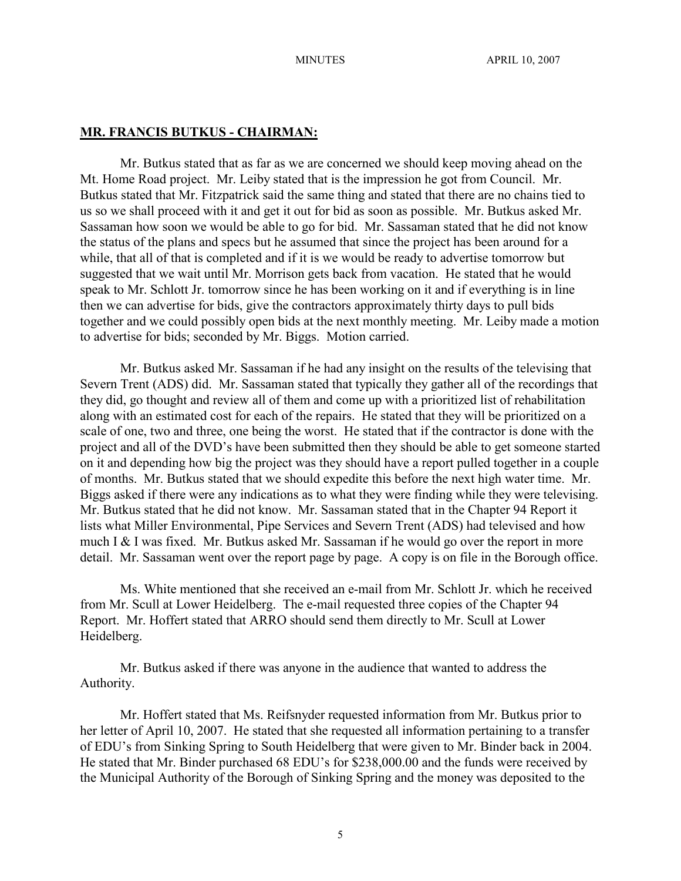#### **MR. FRANCIS BUTKUS - CHAIRMAN:**

Mr. Butkus stated that as far as we are concerned we should keep moving ahead on the Mt. Home Road project. Mr. Leiby stated that is the impression he got from Council. Mr. Butkus stated that Mr. Fitzpatrick said the same thing and stated that there are no chains tied to us so we shall proceed with it and get it out for bid as soon as possible. Mr. Butkus asked Mr. Sassaman how soon we would be able to go for bid. Mr. Sassaman stated that he did not know the status of the plans and specs but he assumed that since the project has been around for a while, that all of that is completed and if it is we would be ready to advertise tomorrow but suggested that we wait until Mr. Morrison gets back from vacation. He stated that he would speak to Mr. Schlott Jr. tomorrow since he has been working on it and if everything is in line then we can advertise for bids, give the contractors approximately thirty days to pull bids together and we could possibly open bids at the next monthly meeting. Mr. Leiby made a motion to advertise for bids; seconded by Mr. Biggs. Motion carried.

Mr. Butkus asked Mr. Sassaman if he had any insight on the results of the televising that Severn Trent (ADS) did. Mr. Sassaman stated that typically they gather all of the recordings that they did, go thought and review all of them and come up with a prioritized list of rehabilitation along with an estimated cost for each of the repairs. He stated that they will be prioritized on a scale of one, two and three, one being the worst. He stated that if the contractor is done with the project and all of the DVD's have been submitted then they should be able to get someone started on it and depending how big the project was they should have a report pulled together in a couple of months. Mr. Butkus stated that we should expedite this before the next high water time. Mr. Biggs asked if there were any indications as to what they were finding while they were televising. Mr. Butkus stated that he did not know. Mr. Sassaman stated that in the Chapter 94 Report it lists what Miller Environmental, Pipe Services and Severn Trent (ADS) had televised and how much I & I was fixed. Mr. Butkus asked Mr. Sassaman if he would go over the report in more detail. Mr. Sassaman went over the report page by page. A copy is on file in the Borough office.

Ms. White mentioned that she received an e-mail from Mr. Schlott Jr. which he received from Mr. Scull at Lower Heidelberg. The e-mail requested three copies of the Chapter 94 Report. Mr. Hoffert stated that ARRO should send them directly to Mr. Scull at Lower Heidelberg.

Mr. Butkus asked if there was anyone in the audience that wanted to address the Authority.

Mr. Hoffert stated that Ms. Reifsnyder requested information from Mr. Butkus prior to her letter of April 10, 2007. He stated that she requested all information pertaining to a transfer of EDU's from Sinking Spring to South Heidelberg that were given to Mr. Binder back in 2004. He stated that Mr. Binder purchased 68 EDU's for \$238,000.00 and the funds were received by the Municipal Authority of the Borough of Sinking Spring and the money was deposited to the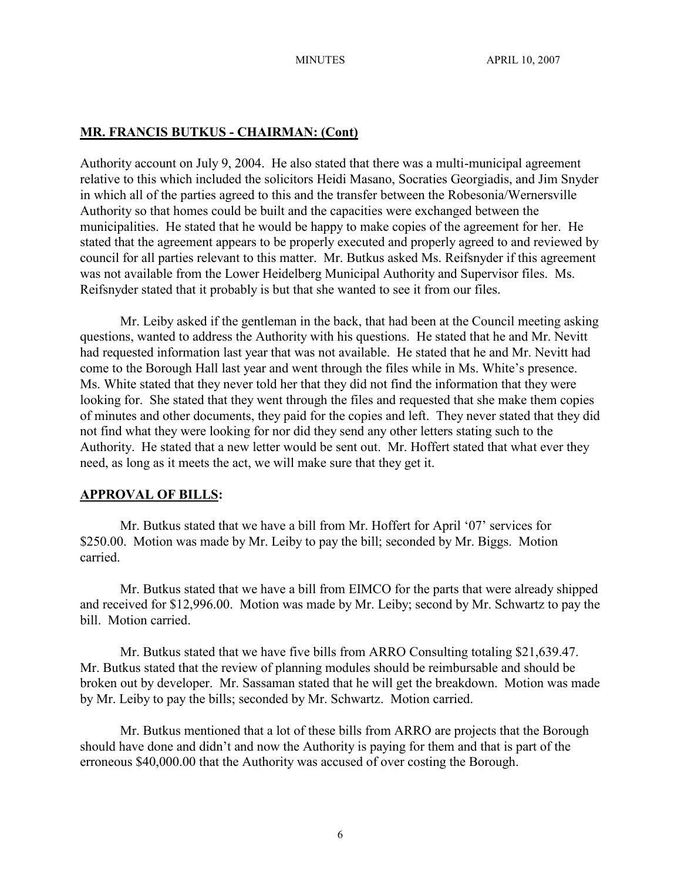#### **MR. FRANCIS BUTKUS - CHAIRMAN: (Cont)**

Authority account on July 9, 2004. He also stated that there was a multi-municipal agreement relative to this which included the solicitors Heidi Masano, Socraties Georgiadis, and Jim Snyder in which all of the parties agreed to this and the transfer between the Robesonia/Wernersville Authority so that homes could be built and the capacities were exchanged between the municipalities. He stated that he would be happy to make copies of the agreement for her. He stated that the agreement appears to be properly executed and properly agreed to and reviewed by council for all parties relevant to this matter. Mr. Butkus asked Ms. Reifsnyder if this agreement was not available from the Lower Heidelberg Municipal Authority and Supervisor files. Ms. Reifsnyder stated that it probably is but that she wanted to see it from our files.

Mr. Leiby asked if the gentleman in the back, that had been at the Council meeting asking questions, wanted to address the Authority with his questions. He stated that he and Mr. Nevitt had requested information last year that was not available. He stated that he and Mr. Nevitt had come to the Borough Hall last year and went through the files while in Ms. White's presence. Ms. White stated that they never told her that they did not find the information that they were looking for. She stated that they went through the files and requested that she make them copies of minutes and other documents, they paid for the copies and left. They never stated that they did not find what they were looking for nor did they send any other letters stating such to the Authority. He stated that a new letter would be sent out. Mr. Hoffert stated that what ever they need, as long as it meets the act, we will make sure that they get it.

## **APPROVAL OF BILLS:**

Mr. Butkus stated that we have a bill from Mr. Hoffert for April '07' services for \$250.00. Motion was made by Mr. Leiby to pay the bill; seconded by Mr. Biggs. Motion carried.

Mr. Butkus stated that we have a bill from EIMCO for the parts that were already shipped and received for \$12,996.00. Motion was made by Mr. Leiby; second by Mr. Schwartz to pay the bill. Motion carried.

Mr. Butkus stated that we have five bills from ARRO Consulting totaling \$21,639.47. Mr. Butkus stated that the review of planning modules should be reimbursable and should be broken out by developer. Mr. Sassaman stated that he will get the breakdown. Motion was made by Mr. Leiby to pay the bills; seconded by Mr. Schwartz. Motion carried.

Mr. Butkus mentioned that a lot of these bills from ARRO are projects that the Borough should have done and didn't and now the Authority is paying for them and that is part of the erroneous \$40,000.00 that the Authority was accused of over costing the Borough.